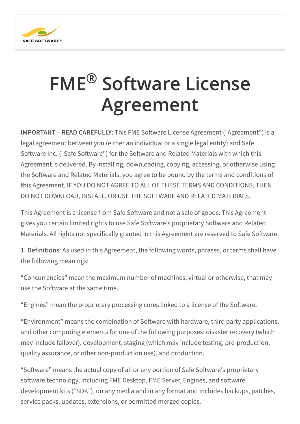

## FME<sup>®</sup> Software License Agreement ®

**IMPORTANT – READ CAREFULLY**: This FME Software License Agreement ("Agreement") is a legal agreement between you (either an individual or a single legal entity) and Safe Software Inc. ("Safe Software") for the Software and Related Materials with which this Agreement is delivered. By installing, downloading, copying, accessing, or otherwise using the Software and Related Materials, you agree to be bound by the terms and conditions of this Agreement. IF YOU DO NOT AGREE TO ALL OF THESE TERMS AND CONDITIONS, THEN DO NOT DOWNLOAD, INSTALL, OR USE THE SOFTWARE AND RELATED MATERIALS.

This Agreement is a license from Safe Software and not a sale of goods. This Agreement gives you certain limited rights to use Safe Software's proprietary Software and Related Materials. All rights not specifically granted in this Agreement are reserved to Safe Software.

**1. Definitions**: As used in this Agreement, the following words, phrases, or terms shall have the following meanings:

"Concurrencies" mean the maximum number of machines, virtual or otherwise, that may use the Software at the same time.

"Engines" mean the proprietary processing cores linked to a license of the Software.

"Environment" means the combination of Software with hardware, third party applications, and other computing elements for one of the following purposes: disaster recovery (which may include failover), development, staging (which may include testing, pre-production, quality assurance, or other non-production use), and production.

"Software" means the actual copy of all or any portion of Safe Software's proprietary software technology, including FME Desktop, FME Server, Engines, and software development kits ("SDK"), on any media and in any format and includes backups, patches, service packs, updates, extensions, or permitted merged copies.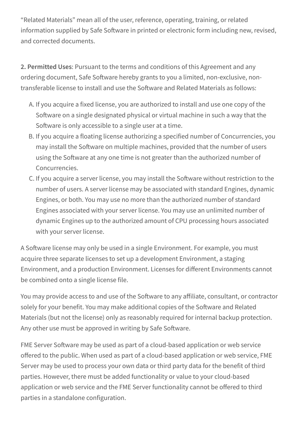"Related Materials" mean all of the user, reference, operating, training, or related information supplied by Safe Software in printed or electronic form including new, revised, and corrected documents.

**2. Permitted Uses**: Pursuant to the terms and conditions of this Agreement and any ordering document, Safe Software hereby grants to you a limited, non-exclusive, nontransferable license to install and use the Software and Related Materials as follows:

- A. If you acquire a fixed license, you are authorized to install and use one copy of the Software on a single designated physical or virtual machine in such a way that the Software is only accessible to a single user at a time.
- B. If you acquire a floating license authorizing a specified number of Concurrencies, you may install the Software on multiple machines, provided that the number of users using the Software at any one time is not greater than the authorized number of Concurrencies.
- C. If you acquire a server license, you may install the Software without restriction to the number of users. A server license may be associated with standard Engines, dynamic Engines, or both. You may use no more than the authorized number of standard Engines associated with your server license. You may use an unlimited number of dynamic Engines up to the authorized amount of CPU processing hours associated with your server license.

A Software license may only be used in a single Environment. For example, you must acquire three separate licenses to set up a development Environment, a staging Environment, and a production Environment. Licenses for different Environments cannot be combined onto a single license file.

You may provide access to and use of the Software to any affiliate, consultant, or contractor solely for your benefit. You may make additional copies of the Software and Related Materials (but not the license) only as reasonably required for internal backup protection. Any other use must be approved in writing by Safe Software.

FME Server Software may be used as part of a cloud-based application or web service offered to the public. When used as part of a cloud-based application or web service, FME Server may be used to process your own data or third party data for the benefit of third parties. However, there must be added functionality or value to your cloud-based application or web service and the FME Server functionality cannot be offered to third parties in a standalone configuration.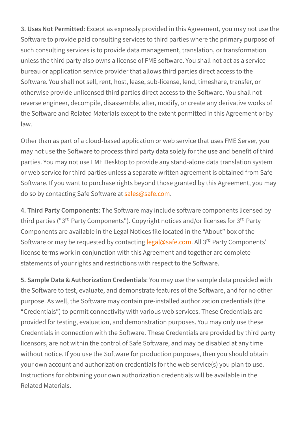**3. Uses Not Permitted**: Except as expressly provided in this Agreement, you may not use the Software to provide paid consulting services to third parties where the primary purpose of such consulting services is to provide data management, translation, or transformation unless the third party also owns a license of FME software. You shall not act as a service bureau or application service provider that allows third parties direct access to the Software. You shall not sell, rent, host, lease, sub-license, lend, timeshare, transfer, or otherwise provide unlicensed third parties direct access to the Software. You shall not reverse engineer, decompile, disassemble, alter, modify, or create any derivative works of the Software and Related Materials except to the extent permitted in this Agreement or by law.

Other than as part of a cloud-based application or web service that uses FME Server, you may not use the Software to process third party data solely for the use and benefit of third parties. You may not use FME Desktop to provide any stand-alone data translation system or web service for third parties unless a separate written agreement is obtained from Safe Software. If you want to purchase rights beyond those granted by this Agreement, you may do so by contacting Safe Software at [sales@safe.com](mailto:sales@safe.com).

**4. Third Party Components**: The Software may include software components licensed by third parties ("3<sup>rd</sup> Party Components"). Copyright notices and/or licenses for 3<sup>rd</sup> Party Components are available in the Legal Notices file located in the "About" box of the Software or may be requested by contacting [legal@safe.com](mailto:legal@safe.com). All 3<sup>rd</sup> Party Components' license terms work in conjunction with this Agreement and together are complete statements of your rights and restrictions with respect to the Software.

**5. Sample Data & Authorization Credentials**: You may use the sample data provided with the Software to test, evaluate, and demonstrate features of the Software, and for no other purpose. As well, the Software may contain pre-installed authorization credentials (the "Credentials") to permit connectivity with various web services. These Credentials are provided for testing, evaluation, and demonstration purposes. You may only use these Credentials in connection with the Software. These Credentials are provided by third party licensors, are not within the control of Safe Software, and may be disabled at any time without notice. If you use the Software for production purposes, then you should obtain your own account and authorization credentials for the web service(s) you plan to use. Instructions for obtaining your own authorization credentials will be available in the Related Materials.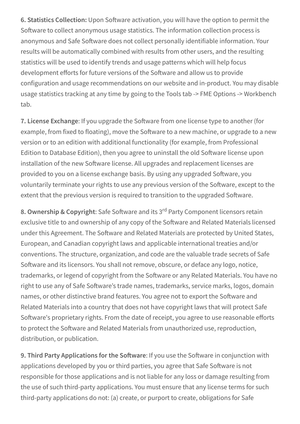**6. Statistics Collection:** Upon Software activation, you will have the option to permit the Software to collect anonymous usage statistics. The information collection process is anonymous and Safe Software does not collect personally identifiable information. Your results will be automatically combined with results from other users, and the resulting statistics will be used to identify trends and usage patterns which will help focus development efforts for future versions of the Software and allow us to provide configuration and usage recommendations on our website and in-product. You may disable usage statistics tracking at any time by going to the Tools tab -> FME Options -> Workbench tab.

**7. License Exchange**: If you upgrade the Software from one license type to another (for example, from fixed to floating), move the Software to a new machine, or upgrade to a new version or to an edition with additional functionality (for example, from Professional Edition to Database Edition), then you agree to uninstall the old Software license upon installation of the new Software license. All upgrades and replacement licenses are provided to you on a license exchange basis. By using any upgraded Software, you voluntarily terminate your rights to use any previous version of the Software, except to the extent that the previous version is required to transition to the upgraded Software.

**8. Ownership & Copyright**: Safe Software and its 3<sup>rd</sup> Party Component licensors retain exclusive title to and ownership of any copy of the Software and Related Materials licensed under this Agreement. The Software and Related Materials are protected by United States, European, and Canadian copyright laws and applicable international treaties and/or conventions. The structure, organization, and code are the valuable trade secrets of Safe Software and its licensors. You shall not remove, obscure, or deface any logo, notice, trademarks, or legend of copyright from the Software or any Related Materials. You have no right to use any of Safe Software's trade names, trademarks, service marks, logos, domain names, or other distinctive brand features. You agree not to export the Software and Related Materials into a country that does not have copyright laws that will protect Safe Software's proprietary rights. From the date of receipt, you agree to use reasonable efforts to protect the Software and Related Materials from unauthorized use, reproduction, distribution, or publication.

**9. Third Party Applications for the Software**: If you use the Software in conjunction with applications developed by you or third parties, you agree that Safe Software is not responsible for those applications and is not liable for any loss or damage resulting from the use of such third-party applications. You must ensure that any license terms for such third-party applications do not: (a) create, or purport to create, obligations for Safe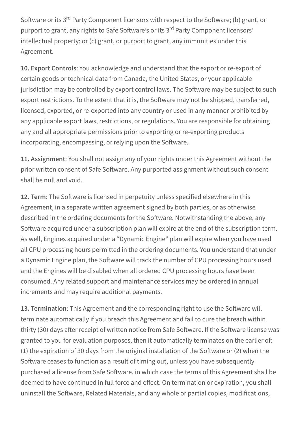Software or its 3<sup>rd</sup> Party Component licensors with respect to the Software; (b) grant, or purport to grant, any rights to Safe Software's or its 3<sup>rd</sup> Party Component licensors' intellectual property; or (c) grant, or purport to grant, any immunities under this Agreement.

**10. Export Controls**: You acknowledge and understand that the export or re-export of certain goods or technical data from Canada, the United States, or your applicable jurisdiction may be controlled by export control laws. The Software may be subject to such export restrictions. To the extent that it is, the Software may not be shipped, transferred, licensed, exported, or re-exported into any country or used in any manner prohibited by any applicable export laws, restrictions, or regulations. You are responsible for obtaining any and all appropriate permissions prior to exporting or re-exporting products incorporating, encompassing, or relying upon the Software.

**11. Assignment**: You shall not assign any of your rights under this Agreement without the prior written consent of Safe Software. Any purported assignment without such consent shall be null and void.

**12. Term**: The Software is licensed in perpetuity unless specified elsewhere in this Agreement, in a separate written agreement signed by both parties, or as otherwise described in the ordering documents for the Software. Notwithstanding the above, any Software acquired under a subscription plan will expire at the end of the subscription term. As well, Engines acquired under a "Dynamic Engine" plan will expire when you have used all CPU processing hours permitted in the ordering documents. You understand that under a Dynamic Engine plan, the Software will track the number of CPU processing hours used and the Engines will be disabled when all ordered CPU processing hours have been consumed. Any related support and maintenance services may be ordered in annual increments and may require additional payments.

**13. Termination**: This Agreement and the corresponding right to use the Software will terminate automatically if you breach this Agreement and fail to cure the breach within thirty (30) days after receipt of written notice from Safe Software. If the Software license was granted to you for evaluation purposes, then it automatically terminates on the earlier of: (1) the expiration of 30 days from the original installation of the Software or (2) when the Software ceases to function as a result of timing out, unless you have subsequently purchased a license from Safe Software, in which case the terms of this Agreement shall be deemed to have continued in full force and effect. On termination or expiration, you shall uninstall the Software, Related Materials, and any whole or partial copies, modifications,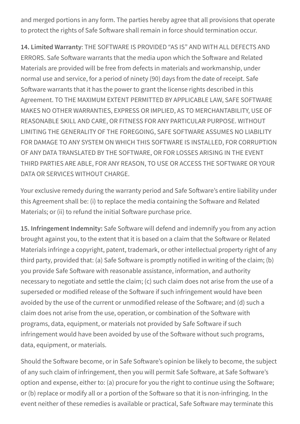and merged portions in any form. The parties hereby agree that all provisions that operate to protect the rights of Safe Software shall remain in force should termination occur.

**14. Limited Warranty**: THE SOFTWARE IS PROVIDED "AS IS" AND WITH ALL DEFECTS AND ERRORS. Safe Software warrants that the media upon which the Software and Related Materials are provided will be free from defects in materials and workmanship, under normal use and service, for a period of ninety (90) days from the date of receipt. Safe Software warrants that it has the power to grant the license rights described in this Agreement. TO THE MAXIMUM EXTENT PERMITTED BY APPLICABLE LAW, SAFE SOFTWARE MAKES NO OTHER WARRANTIES, EXPRESS OR IMPLIED, AS TO MERCHANTABILITY, USE OF REASONABLE SKILL AND CARE, OR FITNESS FOR ANY PARTICULAR PURPOSE. WITHOUT LIMITING THE GENERALITY OF THE FOREGOING, SAFE SOFTWARE ASSUMES NO LIABILITY FOR DAMAGE TO ANY SYSTEM ON WHICH THIS SOFTWARE IS INSTALLED, FOR CORRUPTION OF ANY DATA TRANSLATED BY THE SOFTWARE, OR FOR LOSSES ARISING IN THE EVENT THIRD PARTIES ARE ABLE, FOR ANY REASON, TO USE OR ACCESS THE SOFTWARE OR YOUR DATA OR SERVICES WITHOUT CHARGE.

Your exclusive remedy during the warranty period and Safe Software's entire liability under this Agreement shall be: (i) to replace the media containing the Software and Related Materials; or (ii) to refund the initial Software purchase price.

**15. Infringement Indemnity:** Safe Software will defend and indemnify you from any action brought against you, to the extent that it is based on a claim that the Software or Related Materials infringe a copyright, patent, trademark, or other intellectual property right of any third party, provided that: (a) Safe Software is promptly notified in writing of the claim; (b) you provide Safe Software with reasonable assistance, information, and authority necessary to negotiate and settle the claim; (c) such claim does not arise from the use of a superseded or modified release of the Software if such infringement would have been avoided by the use of the current or unmodified release of the Software; and (d) such a claim does not arise from the use, operation, or combination of the Software with programs, data, equipment, or materials not provided by Safe Software if such infringement would have been avoided by use of the Software without such programs, data, equipment, or materials.

Should the Software become, or in Safe Software's opinion be likely to become, the subject of any such claim of infringement, then you will permit Safe Software, at Safe Software's option and expense, either to: (a) procure for you the right to continue using the Software; or (b) replace or modify all or a portion of the Software so that it is non-infringing. In the event neither of these remedies is available or practical, Safe Software may terminate this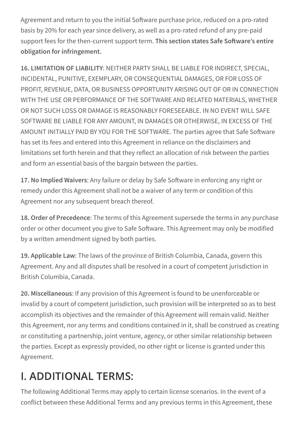Agreement and return to you the initial Software purchase price, reduced on a pro-rated basis by 20% for each year since delivery, as well as a pro-rated refund of any pre-paid support fees for the then-current support term. **This section states Safe Software's entire obligation for infringement.**

**16. LIMITATION OF LIABILITY**: NEITHER PARTY SHALL BE LIABLE FOR INDIRECT, SPECIAL, INCIDENTAL, PUNITIVE, EXEMPLARY, OR CONSEQUENTIAL DAMAGES, OR FOR LOSS OF PROFIT, REVENUE, DATA, OR BUSINESS OPPORTUNITY ARISING OUT OF OR IN CONNECTION WITH THE USE OR PERFORMANCE OF THE SOFTWARE AND RELATED MATERIALS, WHETHER OR NOT SUCH LOSS OR DAMAGE IS REASONABLY FORESEEABLE. IN NO EVENT WILL SAFE SOFTWARE BE LIABLE FOR ANY AMOUNT, IN DAMAGES OR OTHERWISE, IN EXCESS OF THE AMOUNT INITIALLY PAID BY YOU FOR THE SOFTWARE. The parties agree that Safe Software has set its fees and entered into this Agreement in reliance on the disclaimers and limitations set forth herein and that they reflect an allocation of risk between the parties and form an essential basis of the bargain between the parties.

**17. No Implied Waivers**: Any failure or delay by Safe Software in enforcing any right or remedy under this Agreement shall not be a waiver of any term or condition of this Agreement nor any subsequent breach thereof.

**18. Order of Precedence**: The terms of this Agreement supersede the terms in any purchase order or other document you give to Safe Software. This Agreement may only be modified by a written amendment signed by both parties.

**19. Applicable Law**: The laws of the province of British Columbia, Canada, govern this Agreement. Any and all disputes shall be resolved in a court of competent jurisdiction in British Columbia, Canada.

**20. Miscellaneous**: If any provision of this Agreement is found to be unenforceable or invalid by a court of competent jurisdiction, such provision will be interpreted so as to best accomplish its objectives and the remainder of this Agreement will remain valid. Neither this Agreement, nor any terms and conditions contained in it, shall be construed as creating or constituting a partnership, joint venture, agency, or other similar relationship between the parties. Except as expressly provided, no other right or license is granted under this Agreement.

## I. ADDITIONAL TERMS:

The following Additional Terms may apply to certain license scenarios. In the event of a conflict between these Additional Terms and any previous terms in this Agreement, these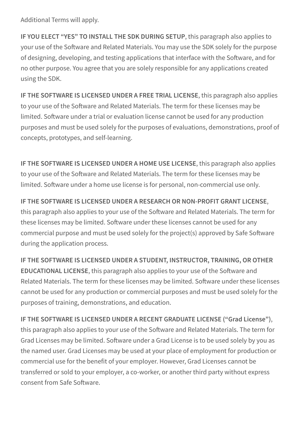Additional Terms will apply.

**IF YOU ELECT "YES" TO INSTALL THE SDK DURING SETUP**, this paragraph also applies to your use of the Software and Related Materials. You may use the SDK solely for the purpose of designing, developing, and testing applications that interface with the Software, and for no other purpose. You agree that you are solely responsible for any applications created using the SDK.

**IF THE SOFTWARE IS LICENSED UNDER A FREE TRIAL LICENSE**, this paragraph also applies to your use of the Software and Related Materials. The term for these licenses may be limited. Software under a trial or evaluation license cannot be used for any production purposes and must be used solely for the purposes of evaluations, demonstrations, proof of concepts, prototypes, and self-learning.

**IF THE SOFTWARE IS LICENSED UNDER A HOME USE LICENSE**, this paragraph also applies to your use of the Software and Related Materials. The term for these licenses may be limited. Software under a home use license is for personal, non-commercial use only.

**IF THE SOFTWARE IS LICENSED UNDER A RESEARCH OR NON-PROFIT GRANT LICENSE**, this paragraph also applies to your use of the Software and Related Materials. The term for these licenses may be limited. Software under these licenses cannot be used for any commercial purpose and must be used solely for the project(s) approved by Safe Software during the application process.

**IF THE SOFTWARE IS LICENSED UNDER A STUDENT, INSTRUCTOR, TRAINING, OR OTHER EDUCATIONAL LICENSE**, this paragraph also applies to your use of the Software and Related Materials. The term for these licenses may be limited. Software under these licenses cannot be used for any production or commercial purposes and must be used solely for the purposes of training, demonstrations, and education.

**IF THE SOFTWARE IS LICENSED UNDER A RECENT GRADUATE LICENSE ("Grad License")**, this paragraph also applies to your use of the Software and Related Materials. The term for Grad Licenses may be limited. Software under a Grad License is to be used solely by you as the named user. Grad Licenses may be used at your place of employment for production or commercial use for the benefit of your employer. However, Grad Licenses cannot be transferred or sold to your employer, a co-worker, or another third party without express consent from Safe Software.